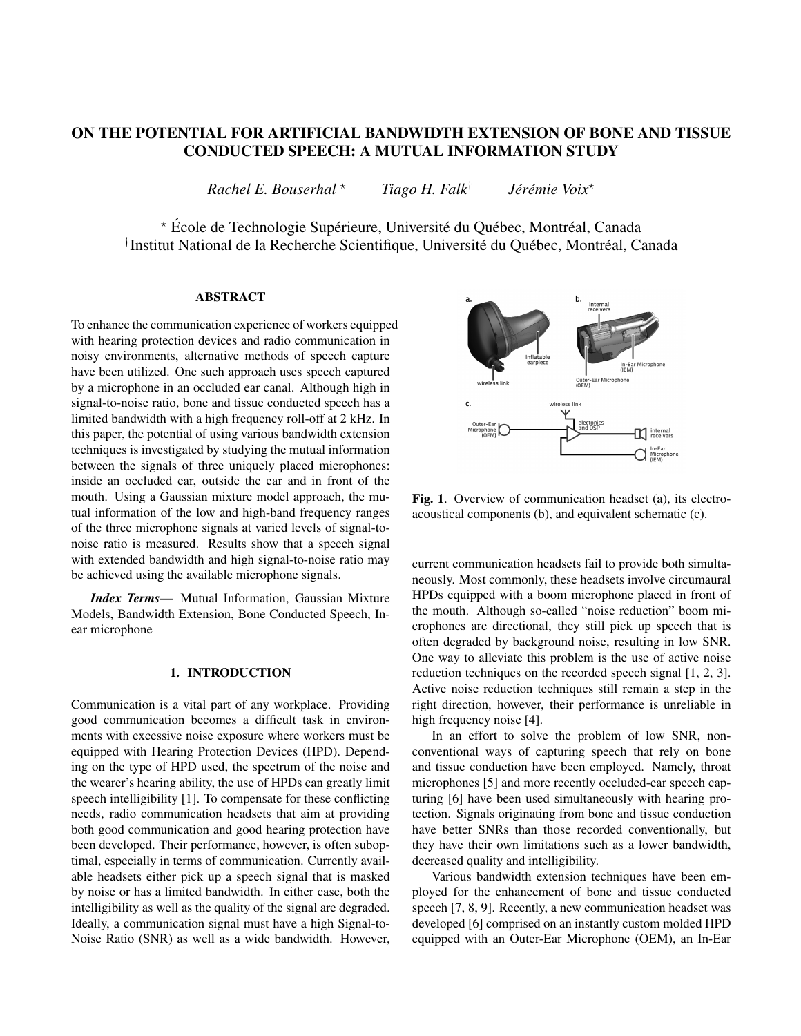# ON THE POTENTIAL FOR ARTIFICIAL BANDWIDTH EXTENSION OF BONE AND TISSUE CONDUCTED SPEECH: A MUTUAL INFORMATION STUDY

*Rachel E. Bouserhal* ? *Tiago H. Falk*†  $J$ érémie Voix<sup>\*</sup>

\* École de Technologie Supérieure, Université du Québec, Montréal, Canada <sup>†</sup>Institut National de la Recherche Scientifique, Université du Québec, Montréal, Canada

## ABSTRACT

To enhance the communication experience of workers equipped with hearing protection devices and radio communication in noisy environments, alternative methods of speech capture have been utilized. One such approach uses speech captured by a microphone in an occluded ear canal. Although high in signal-to-noise ratio, bone and tissue conducted speech has a limited bandwidth with a high frequency roll-off at 2 kHz. In this paper, the potential of using various bandwidth extension techniques is investigated by studying the mutual information between the signals of three uniquely placed microphones: inside an occluded ear, outside the ear and in front of the mouth. Using a Gaussian mixture model approach, the mutual information of the low and high-band frequency ranges of the three microphone signals at varied levels of signal-tonoise ratio is measured. Results show that a speech signal with extended bandwidth and high signal-to-noise ratio may be achieved using the available microphone signals.

*Index Terms*— Mutual Information, Gaussian Mixture Models, Bandwidth Extension, Bone Conducted Speech, Inear microphone

#### 1. INTRODUCTION

Communication is a vital part of any workplace. Providing good communication becomes a difficult task in environments with excessive noise exposure where workers must be equipped with Hearing Protection Devices (HPD). Depending on the type of HPD used, the spectrum of the noise and the wearer's hearing ability, the use of HPDs can greatly limit speech intelligibility [1]. To compensate for these conflicting needs, radio communication headsets that aim at providing both good communication and good hearing protection have been developed. Their performance, however, is often suboptimal, especially in terms of communication. Currently available headsets either pick up a speech signal that is masked by noise or has a limited bandwidth. In either case, both the intelligibility as well as the quality of the signal are degraded. Ideally, a communication signal must have a high Signal-to-Noise Ratio (SNR) as well as a wide bandwidth. However,



Fig. 1. Overview of communication headset (a), its electroacoustical components (b), and equivalent schematic (c).

current communication headsets fail to provide both simultaneously. Most commonly, these headsets involve circumaural HPDs equipped with a boom microphone placed in front of the mouth. Although so-called "noise reduction" boom microphones are directional, they still pick up speech that is often degraded by background noise, resulting in low SNR. One way to alleviate this problem is the use of active noise reduction techniques on the recorded speech signal [1, 2, 3]. Active noise reduction techniques still remain a step in the right direction, however, their performance is unreliable in high frequency noise [4].

In an effort to solve the problem of low SNR, nonconventional ways of capturing speech that rely on bone and tissue conduction have been employed. Namely, throat microphones [5] and more recently occluded-ear speech capturing [6] have been used simultaneously with hearing protection. Signals originating from bone and tissue conduction have better SNRs than those recorded conventionally, but they have their own limitations such as a lower bandwidth, decreased quality and intelligibility.

Various bandwidth extension techniques have been employed for the enhancement of bone and tissue conducted speech [7, 8, 9]. Recently, a new communication headset was developed [6] comprised on an instantly custom molded HPD equipped with an Outer-Ear Microphone (OEM), an In-Ear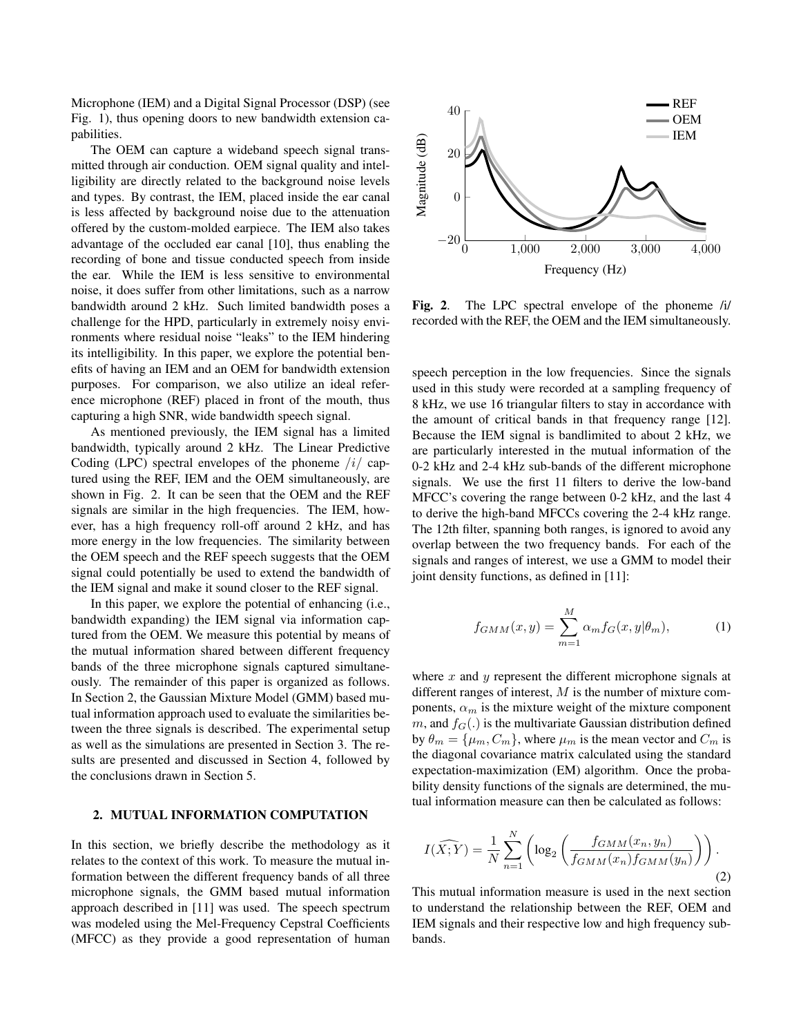Microphone (IEM) and a Digital Signal Processor (DSP) (see Fig. 1), thus opening doors to new bandwidth extension capabilities.

The OEM can capture a wideband speech signal transmitted through air conduction. OEM signal quality and intelligibility are directly related to the background noise levels and types. By contrast, the IEM, placed inside the ear canal is less affected by background noise due to the attenuation offered by the custom-molded earpiece. The IEM also takes advantage of the occluded ear canal [10], thus enabling the recording of bone and tissue conducted speech from inside the ear. While the IEM is less sensitive to environmental noise, it does suffer from other limitations, such as a narrow bandwidth around 2 kHz. Such limited bandwidth poses a challenge for the HPD, particularly in extremely noisy environments where residual noise "leaks" to the IEM hindering its intelligibility. In this paper, we explore the potential benefits of having an IEM and an OEM for bandwidth extension purposes. For comparison, we also utilize an ideal reference microphone (REF) placed in front of the mouth, thus capturing a high SNR, wide bandwidth speech signal.

As mentioned previously, the IEM signal has a limited bandwidth, typically around 2 kHz. The Linear Predictive Coding (LPC) spectral envelopes of the phoneme  $/i$  captured using the REF, IEM and the OEM simultaneously, are shown in Fig. 2. It can be seen that the OEM and the REF signals are similar in the high frequencies. The IEM, however, has a high frequency roll-off around 2 kHz, and has more energy in the low frequencies. The similarity between the OEM speech and the REF speech suggests that the OEM signal could potentially be used to extend the bandwidth of the IEM signal and make it sound closer to the REF signal.

In this paper, we explore the potential of enhancing (i.e., bandwidth expanding) the IEM signal via information captured from the OEM. We measure this potential by means of the mutual information shared between different frequency bands of the three microphone signals captured simultaneously. The remainder of this paper is organized as follows. In Section 2, the Gaussian Mixture Model (GMM) based mutual information approach used to evaluate the similarities between the three signals is described. The experimental setup as well as the simulations are presented in Section 3. The results are presented and discussed in Section 4, followed by the conclusions drawn in Section 5.

#### 2. MUTUAL INFORMATION COMPUTATION

In this section, we briefly describe the methodology as it relates to the context of this work. To measure the mutual information between the different frequency bands of all three microphone signals, the GMM based mutual information approach described in [11] was used. The speech spectrum was modeled using the Mel-Frequency Cepstral Coefficients (MFCC) as they provide a good representation of human



Fig. 2. The LPC spectral envelope of the phoneme /i/ recorded with the REF, the OEM and the IEM simultaneously.

speech perception in the low frequencies. Since the signals used in this study were recorded at a sampling frequency of 8 kHz, we use 16 triangular filters to stay in accordance with the amount of critical bands in that frequency range [12]. Because the IEM signal is bandlimited to about 2 kHz, we are particularly interested in the mutual information of the 0-2 kHz and 2-4 kHz sub-bands of the different microphone signals. We use the first 11 filters to derive the low-band MFCC's covering the range between 0-2 kHz, and the last 4 to derive the high-band MFCCs covering the 2-4 kHz range. The 12th filter, spanning both ranges, is ignored to avoid any overlap between the two frequency bands. For each of the signals and ranges of interest, we use a GMM to model their joint density functions, as defined in [11]:

$$
f_{GMM}(x,y) = \sum_{m=1}^{M} \alpha_m f_G(x,y|\theta_m), \qquad (1)
$$

where  $x$  and  $y$  represent the different microphone signals at different ranges of interest, M is the number of mixture components,  $\alpha_m$  is the mixture weight of the mixture component m, and  $f_G(.)$  is the multivariate Gaussian distribution defined by  $\theta_m = {\mu_m, C_m}$ , where  $\mu_m$  is the mean vector and  $C_m$  is the diagonal covariance matrix calculated using the standard expectation-maximization (EM) algorithm. Once the probability density functions of the signals are determined, the mutual information measure can then be calculated as follows:

$$
I(\widehat{X;Y}) = \frac{1}{N} \sum_{n=1}^{N} \left( \log_2 \left( \frac{f_{GMM}(x_n, y_n)}{f_{GMM}(x_n) f_{GMM}(y_n)} \right) \right).
$$
\n(2)

This mutual information measure is used in the next section to understand the relationship between the REF, OEM and IEM signals and their respective low and high frequency subbands.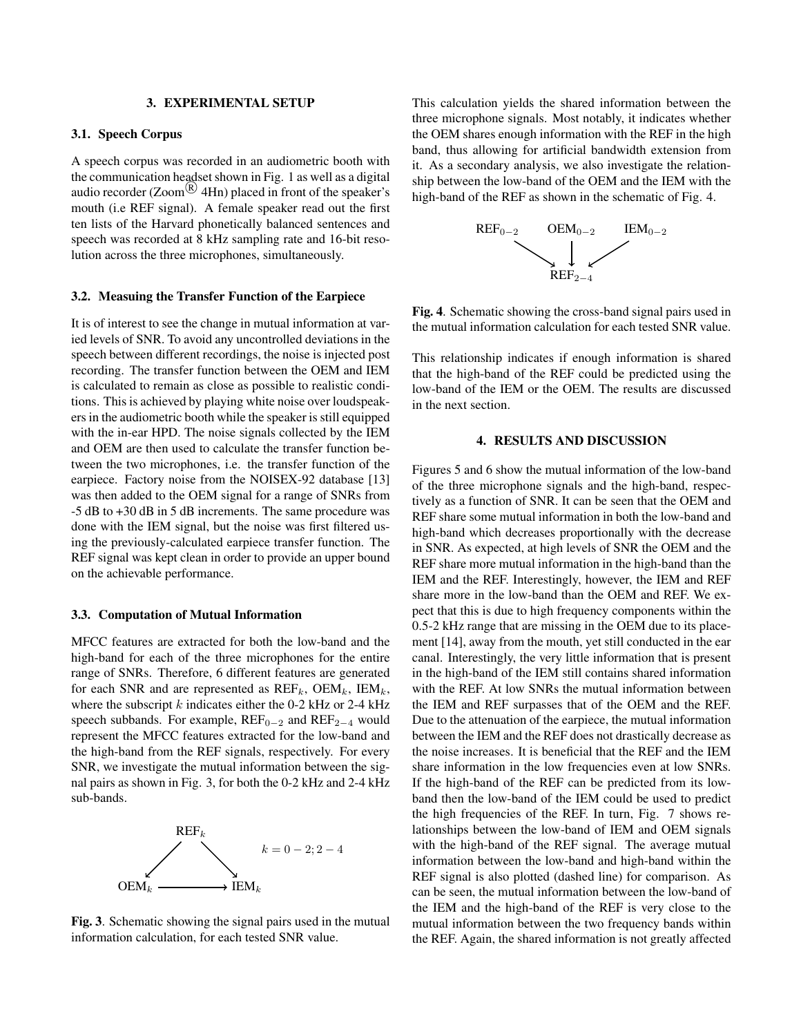#### 3. EXPERIMENTAL SETUP

#### 3.1. Speech Corpus

A speech corpus was recorded in an audiometric booth with the communication headset shown in Fig. 1 as well as a digital audio recorder  $(Zoom^{(R)}$  4Hn) placed in front of the speaker's mouth (i.e REF signal). A female speaker read out the first ten lists of the Harvard phonetically balanced sentences and speech was recorded at 8 kHz sampling rate and 16-bit resolution across the three microphones, simultaneously.

#### 3.2. Measuing the Transfer Function of the Earpiece

It is of interest to see the change in mutual information at varied levels of SNR. To avoid any uncontrolled deviations in the speech between different recordings, the noise is injected post recording. The transfer function between the OEM and IEM is calculated to remain as close as possible to realistic conditions. This is achieved by playing white noise over loudspeakers in the audiometric booth while the speaker is still equipped with the in-ear HPD. The noise signals collected by the IEM and OEM are then used to calculate the transfer function between the two microphones, i.e. the transfer function of the earpiece. Factory noise from the NOISEX-92 database [13] was then added to the OEM signal for a range of SNRs from -5 dB to +30 dB in 5 dB increments. The same procedure was done with the IEM signal, but the noise was first filtered using the previously-calculated earpiece transfer function. The REF signal was kept clean in order to provide an upper bound on the achievable performance.

#### 3.3. Computation of Mutual Information

MFCC features are extracted for both the low-band and the high-band for each of the three microphones for the entire range of SNRs. Therefore, 6 different features are generated for each SNR and are represented as  $REF_k$ ,  $OEM_k$ ,  $IEM_k$ , where the subscript  $k$  indicates either the 0-2 kHz or 2-4 kHz speech subbands. For example,  $REF_{0-2}$  and  $REF_{2-4}$  would represent the MFCC features extracted for the low-band and the high-band from the REF signals, respectively. For every SNR, we investigate the mutual information between the signal pairs as shown in Fig. 3, for both the 0-2 kHz and 2-4 kHz sub-bands.



Fig. 3. Schematic showing the signal pairs used in the mutual information calculation, for each tested SNR value.

This calculation yields the shared information between the three microphone signals. Most notably, it indicates whether the OEM shares enough information with the REF in the high band, thus allowing for artificial bandwidth extension from it. As a secondary analysis, we also investigate the relationship between the low-band of the OEM and the IEM with the high-band of the REF as shown in the schematic of Fig. 4.



Fig. 4. Schematic showing the cross-band signal pairs used in the mutual information calculation for each tested SNR value.

This relationship indicates if enough information is shared that the high-band of the REF could be predicted using the low-band of the IEM or the OEM. The results are discussed in the next section.

#### 4. RESULTS AND DISCUSSION

Figures 5 and 6 show the mutual information of the low-band of the three microphone signals and the high-band, respectively as a function of SNR. It can be seen that the OEM and REF share some mutual information in both the low-band and high-band which decreases proportionally with the decrease in SNR. As expected, at high levels of SNR the OEM and the REF share more mutual information in the high-band than the IEM and the REF. Interestingly, however, the IEM and REF share more in the low-band than the OEM and REF. We expect that this is due to high frequency components within the 0.5-2 kHz range that are missing in the OEM due to its placement [14], away from the mouth, yet still conducted in the ear canal. Interestingly, the very little information that is present in the high-band of the IEM still contains shared information with the REF. At low SNRs the mutual information between the IEM and REF surpasses that of the OEM and the REF. Due to the attenuation of the earpiece, the mutual information between the IEM and the REF does not drastically decrease as the noise increases. It is beneficial that the REF and the IEM share information in the low frequencies even at low SNRs. If the high-band of the REF can be predicted from its lowband then the low-band of the IEM could be used to predict the high frequencies of the REF. In turn, Fig. 7 shows relationships between the low-band of IEM and OEM signals with the high-band of the REF signal. The average mutual information between the low-band and high-band within the REF signal is also plotted (dashed line) for comparison. As can be seen, the mutual information between the low-band of the IEM and the high-band of the REF is very close to the mutual information between the two frequency bands within the REF. Again, the shared information is not greatly affected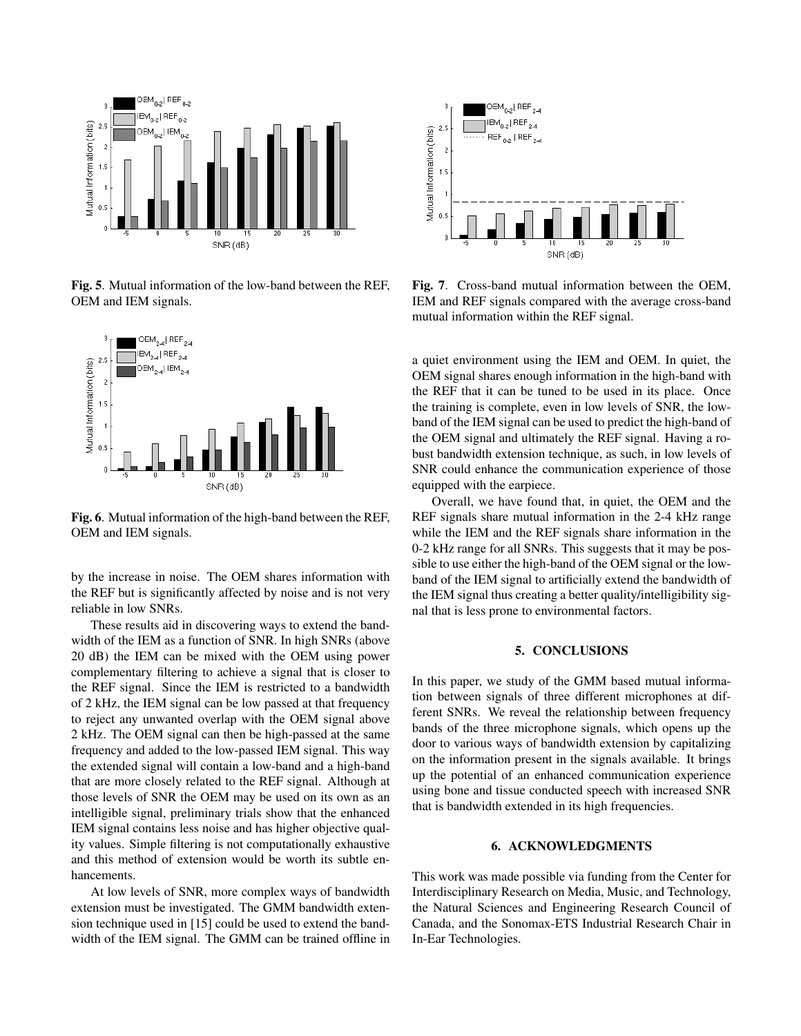

Fig. 5. Mutual information of the low-band between the REF, OEM and IEM signals.



Fig. 6. Mutual information of the high-band between the REF, OEM and IEM signals.

by the increase in noise. The OEM shares information with the REF but is significantly affected by noise and is not very reliable in low SNRs.

These results aid in discovering ways to extend the bandwidth of the IEM as a function of SNR. In high SNRs (above 20 dB) the IEM can be mixed with the OEM using power complementary filtering to achieve a signal that is closer to the REF signal. Since the IEM is restricted to a bandwidth of 2 kHz, the IEM signal can be low passed at that frequency to reject any unwanted overlap with the OEM signal above 2 kHz. The OEM signal can then be high-passed at the same frequency and added to the low-passed IEM signal. This way the extended signal will contain a low-band and a high-band that are more closely related to the REF signal. Although at those levels of SNR the OEM may be used on its own as an intelligible signal, preliminary trials show that the enhanced IEM signal contains less noise and has higher objective quality values. Simple filtering is not computationally exhaustive and this method of extension would be worth its subtle enhancements.

At low levels of SNR, more complex ways of bandwidth extension must be investigated. The GMM bandwidth extension technique used in [15] could be used to extend the bandwidth of the IEM signal. The GMM can be trained offline in



Fig. 7. Cross-band mutual information between the OEM, IEM and REF signals compared with the average cross-band mutual information within the REF signal.

a quiet environment using the IEM and OEM. In quiet, the OEM signal shares enough information in the high-band with the REF that it can be tuned to be used in its place. Once the training is complete, even in low levels of SNR, the lowband of the IEM signal can be used to predict the high-band of the OEM signal and ultimately the REF signal. Having a robust bandwidth extension technique, as such, in low levels of SNR could enhance the communication experience of those equipped with the earpiece.

Overall, we have found that, in quiet, the OEM and the REF signals share mutual information in the 2-4 kHz range while the IEM and the REF signals share information in the 0-2 kHz range for all SNRs. This suggests that it may be possible to use either the high-band of the OEM signal or the lowband of the IEM signal to artificially extend the bandwidth of the IEM signal thus creating a better quality/intelligibility signal that is less prone to environmental factors.

### 5. CONCLUSIONS

In this paper, we study of the GMM based mutual information between signals of three different microphones at different SNRs. We reveal the relationship between frequency bands of the three microphone signals, which opens up the door to various ways of bandwidth extension by capitalizing on the information present in the signals available. It brings up the potential of an enhanced communication experience using bone and tissue conducted speech with increased SNR that is bandwidth extended in its high frequencies.

### 6. ACKNOWLEDGMENTS

This work was made possible via funding from the Center for Interdisciplinary Research on Media, Music, and Technology, the Natural Sciences and Engineering Research Council of Canada, and the Sonomax-ETS Industrial Research Chair in In-Ear Technologies.